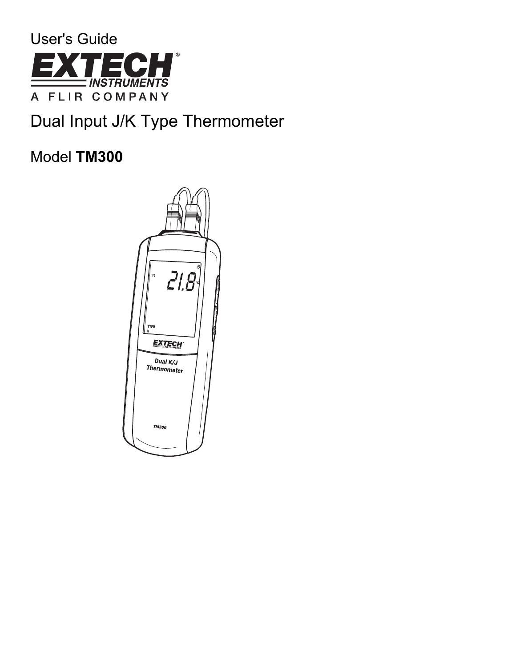

# Dual Input J/K Type Thermometer

# Model **TM300**

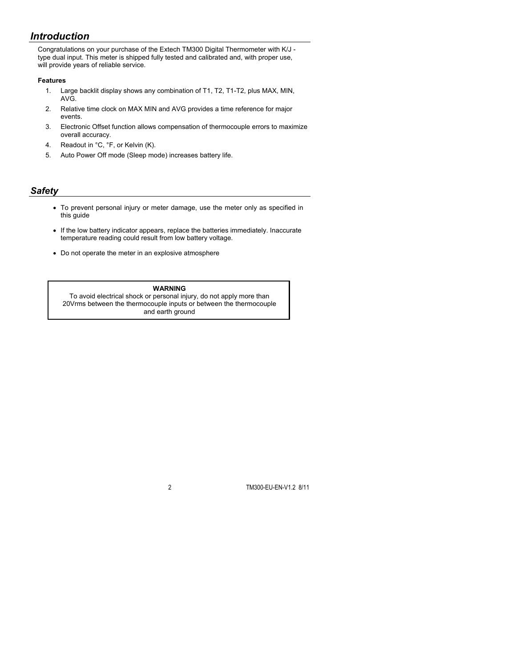# *Introduction*

Congratulations on your purchase of the Extech TM300 Digital Thermometer with K/J type dual input. This meter is shipped fully tested and calibrated and, with proper use, will provide years of reliable service.

#### **Features**

- 1. Large backlit display shows any combination of T1, T2, T1-T2, plus MAX, MIN, AVG.
- 2. Relative time clock on MAX MIN and AVG provides a time reference for major events.
- 3. Electronic Offset function allows compensation of thermocouple errors to maximize overall accuracy.
- 4. Readout in °C, °F, or Kelvin (K).
- 5. Auto Power Off mode (Sleep mode) increases battery life.

# *Safety*

- To prevent personal injury or meter damage, use the meter only as specified in this guide
- If the low battery indicator appears, replace the batteries immediately. Inaccurate temperature reading could result from low battery voltage.
- Do not operate the meter in an explosive atmosphere

#### **WARNING**

To avoid electrical shock or personal injury, do not apply more than 20Vrms between the thermocouple inputs or between the thermocouple and earth ground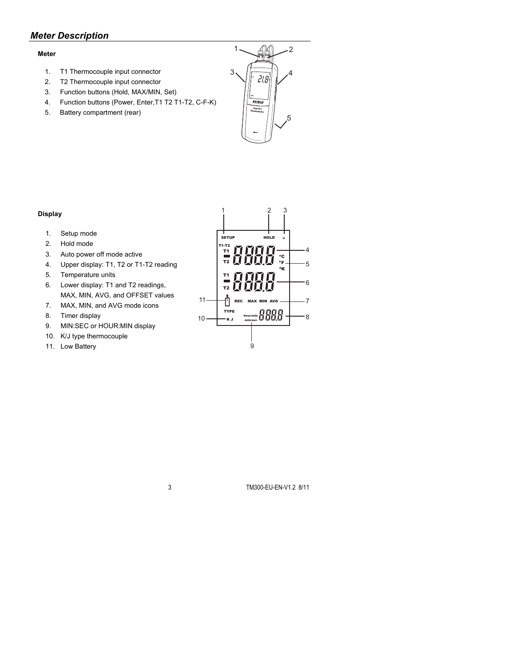# *Meter Description*

## **Meter**

- 1. T1 Thermocouple input connector
- 2. T2 Thermocouple input connector
- 3. Function buttons (Hold, MAX/MIN, Set)
- 4. Function buttons (Power, Enter,T1 T2 T1-T2, C-F-K)
- 5. Battery compartment (rear)

## **Display**

- 1. Setup mode
- 2. Hold mode
- 3. Auto power off mode active
- 4. Upper display: T1, T2 or T1-T2 reading
- 5. Temperature units
- 6. Lower display: T1 and T2 readings, MAX, MIN, AVG, and OFFSET values
- 7. MAX, MIN, and AVG mode icons
- 8. Timer display
- 9. MIN:SEC or HOUR:MIN display
- 10. K/J type thermocouple
- 11. Low Battery



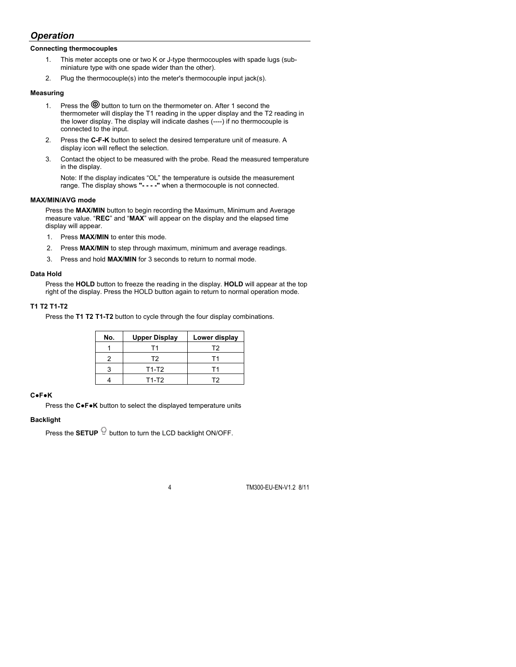# *Operation*

#### **Connecting thermocouples**

- 1. This meter accepts one or two K or J-type thermocouples with spade lugs (subminiature type with one spade wider than the other).
- 2. Plug the thermocouple(s) into the meter's thermocouple input jack(s).

#### **Measuring**

- 1. Press the  $\circledcirc$  button to turn on the thermometer on. After 1 second the thermometer will display the T1 reading in the upper display and the T2 reading in the lower display. The display will indicate dashes (----) if no thermocouple is connected to the input.
- 2. Press the **C-F-K** button to select the desired temperature unit of measure. A display icon will reflect the selection.
- 3. Contact the object to be measured with the probe. Read the measured temperature in the display.

Note: If the display indicates "OL" the temperature is outside the measurement range. The display shows **"- - - -"** when a thermocouple is not connected.

### **MAX/MIN/AVG mode**

Press the **MAX/MIN** button to begin recording the Maximum, Minimum and Average measure value. "**REC**" and "**MAX**" will appear on the display and the elapsed time display will appear.

- 1. Press **MAX/MIN** to enter this mode.
- 2. Press **MAX/MIN** to step through maximum, minimum and average readings.
- 3. Press and hold **MAX/MIN** for 3 seconds to return to normal mode.

#### **Data Hold**

Press the **HOLD** button to freeze the reading in the display. **HOLD** will appear at the top right of the display. Press the HOLD button again to return to normal operation mode.

## **T1 T2 T1-T2**

Press the **T1 T2 T1-T2** button to cycle through the four display combinations.

| No. | <b>Upper Display</b> | Lower display |
|-----|----------------------|---------------|
|     | Г1                   | T2            |
|     | T2                   |               |
|     | $T1-T2$              |               |
|     | T1-T2                |               |

### **C●F●K**

Press the **C●F●K** button to select the displayed temperature units

#### **Backlight**

Press the **SETUP**  $\widehat{\mathbb{P}}$  button to turn the LCD backlight ON/OFF.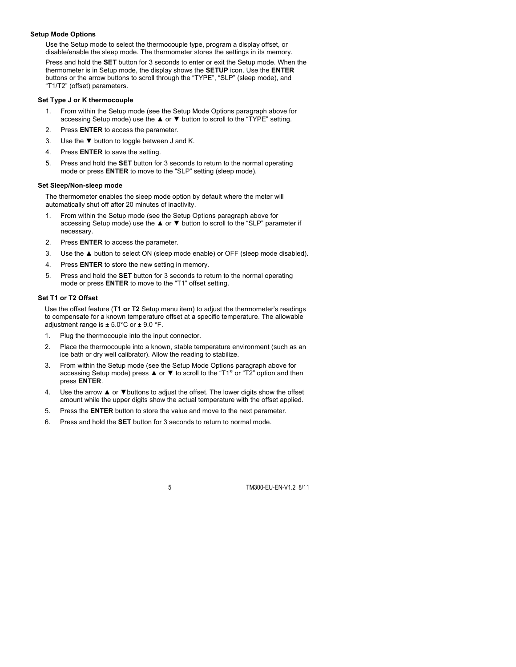#### **Setup Mode Options**

Use the Setup mode to select the thermocouple type, program a display offset, or disable/enable the sleep mode. The thermometer stores the settings in its memory.

Press and hold the **SET** button for 3 seconds to enter or exit the Setup mode. When the thermometer is in Setup mode, the display shows the **SETUP** icon. Use the **ENTER** buttons or the arrow buttons to scroll through the "TYPE", "SLP" (sleep mode), and "T1/T2" (offset) parameters.

#### **Set Type J or K thermocouple**

- 1. From within the Setup mode (see the Setup Mode Options paragraph above for accessing Setup mode) use the **▲** or **▼** button to scroll to the "TYPE" setting.
- 2. Press **ENTER** to access the parameter.
- 3. Use the **▼** button to toggle between J and K.
- 4. Press **ENTER** to save the setting.
- 5. Press and hold the **SET** button for 3 seconds to return to the normal operating mode or press **ENTER** to move to the "SLP" setting (sleep mode).

#### **Set Sleep/Non-sleep mode**

The thermometer enables the sleep mode option by default where the meter will automatically shut off after 20 minutes of inactivity.

- 1. From within the Setup mode (see the Setup Options paragraph above for accessing Setup mode) use the **▲** or **▼** button to scroll to the "SLP" parameter if necessary.
- 2. Press **ENTER** to access the parameter.
- 3. Use the **▲** button to select ON (sleep mode enable) or OFF (sleep mode disabled).
- 4. Press **ENTER** to store the new setting in memory.
- 5. Press and hold the **SET** button for 3 seconds to return to the normal operating mode or press **ENTER** to move to the "T1" offset setting.

## **Set T1 or T2 Offset**

Use the offset feature (**T1 or T2** Setup menu item) to adjust the thermometer's readings to compensate for a known temperature offset at a specific temperature. The allowable adjustment range is  $\pm$  5.0°C or  $\pm$  9.0 °F.

- 1. Plug the thermocouple into the input connector.
- 2. Place the thermocouple into a known, stable temperature environment (such as an ice bath or dry well calibrator). Allow the reading to stabilize.
- 3. From within the Setup mode (see the Setup Mode Options paragraph above for accessing Setup mode) press **▲** or **▼** to scroll to the "T1**"** or "T2" option and then press **ENTER**.
- 4. Use the arrow **▲** or **▼**buttons to adjust the offset. The lower digits show the offset amount while the upper digits show the actual temperature with the offset applied.
- 5. Press the **ENTER** button to store the value and move to the next parameter.
- 6. Press and hold the **SET** button for 3 seconds to return to normal mode.